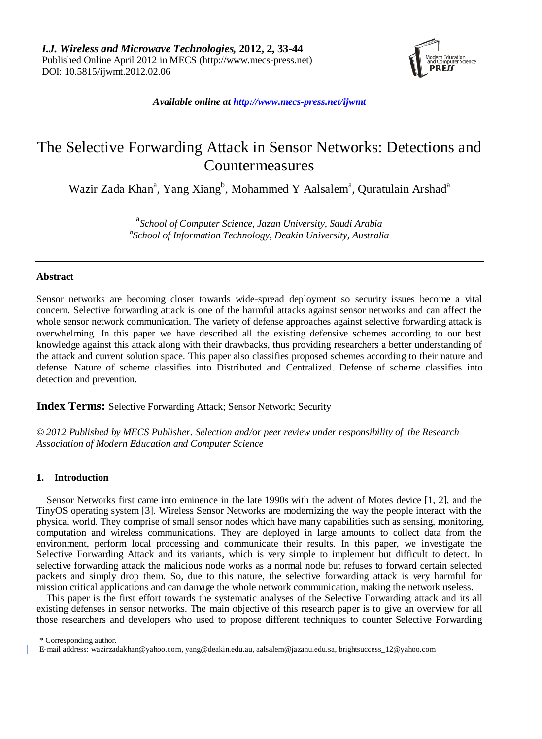

*Available online at http://www.mecs-press.net/ijwmt*

# The Selective Forwarding Attack in Sensor Networks: Detections and Countermeasures

Wazir Zada Khan<sup>a</sup>, Yang Xiang<sup>b</sup>, Mohammed Y Aalsalem<sup>a</sup>, Quratulain Arshad<sup>a</sup>

a *School of Computer Science, Jazan University, Saudi Arabia b School of Information Technology, Deakin University, Australia* 

# **Abstract**

Sensor networks are becoming closer towards wide-spread deployment so security issues become a vital concern. Selective forwarding attack is one of the harmful attacks against sensor networks and can affect the whole sensor network communication. The variety of defense approaches against selective forwarding attack is overwhelming. In this paper we have described all the existing defensive schemes according to our best knowledge against this attack along with their drawbacks, thus providing researchers a better understanding of the attack and current solution space. This paper also classifies proposed schemes according to their nature and defense. Nature of scheme classifies into Distributed and Centralized. Defense of scheme classifies into detection and prevention.

**Index Terms:** Selective Forwarding Attack; Sensor Network; Security

*© 2012 Published by MECS Publisher. Selection and/or peer review under responsibility of the Research Association of Modern Education and Computer Science*

# **1. Introduction**

Sensor Networks first came into eminence in the late 1990s with the advent of Motes device [1, 2], and the TinyOS operating system [3]. Wireless Sensor Networks are modernizing the way the people interact with the physical world. They comprise of small sensor nodes which have many capabilities such as sensing, monitoring, computation and wireless communications. They are deployed in large amounts to collect data from the environment, perform local processing and communicate their results. In this paper, we investigate the Selective Forwarding Attack and its variants, which is very simple to implement but difficult to detect. In selective forwarding attack the malicious node works as a normal node but refuses to forward certain selected packets and simply drop them. So, due to this nature, the selective forwarding attack is very harmful for mission critical applications and can damage the whole network communication, making the network useless.

This paper is the first effort towards the systematic analyses of the Selective Forwarding attack and its all existing defenses in sensor networks. The main objective of this research paper is to give an overview for all those researchers and developers who used to propose different techniques to counter Selective Forwarding

\* Corresponding author.

E-mail address: [wazirzadakhan@yahoo.com,](mailto:wazirzadakhan@yahoo.com) [yang@deakin.edu.au,](mailto:yang@deakin.edu.au) aalsalem@jazanu.edu.sa, brightsuccess\_12@yahoo.com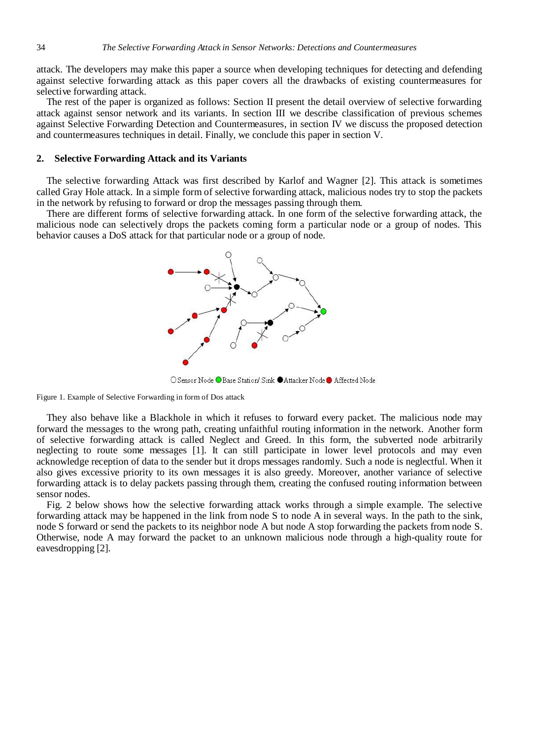attack. The developers may make this paper a source when developing techniques for detecting and defending against selective forwarding attack as this paper covers all the drawbacks of existing countermeasures for selective forwarding attack.

The rest of the paper is organized as follows: Section II present the detail overview of selective forwarding attack against sensor network and its variants. In section III we describe classification of previous schemes against Selective Forwarding Detection and Countermeasures, in section IV we discuss the proposed detection and countermeasures techniques in detail. Finally, we conclude this paper in section V.

# **2. Selective Forwarding Attack and its Variants**

The selective forwarding Attack was first described by Karlof and Wagner [2]. This attack is sometimes called Gray Hole attack. In a simple form of selective forwarding attack, malicious nodes try to stop the packets in the network by refusing to forward or drop the messages passing through them.

There are different forms of selective forwarding attack. In one form of the selective forwarding attack, the malicious node can selectively drops the packets coming form a particular node or a group of nodes. This behavior causes a DoS attack for that particular node or a group of node.



O Sensor Node ● Base Station/ Sink ● Attacker Node ● Affected Node

Figure 1. Example of Selective Forwarding in form of Dos attack

They also behave like a Blackhole in which it refuses to forward every packet. The malicious node may forward the messages to the wrong path, creating unfaithful routing information in the network. Another form of selective forwarding attack is called Neglect and Greed. In this form, the subverted node arbitrarily neglecting to route some messages [1]. It can still participate in lower level protocols and may even acknowledge reception of data to the sender but it drops messages randomly. Such a node is neglectful. When it also gives excessive priority to its own messages it is also greedy. Moreover, another variance of selective forwarding attack is to delay packets passing through them, creating the confused routing information between sensor nodes.

Fig. 2 below shows how the selective forwarding attack works through a simple example. The selective forwarding attack may be happened in the link from node S to node A in several ways. In the path to the sink, node S forward or send the packets to its neighbor node A but node A stop forwarding the packets from node S. Otherwise, node A may forward the packet to an unknown malicious node through a high-quality route for eavesdropping [2].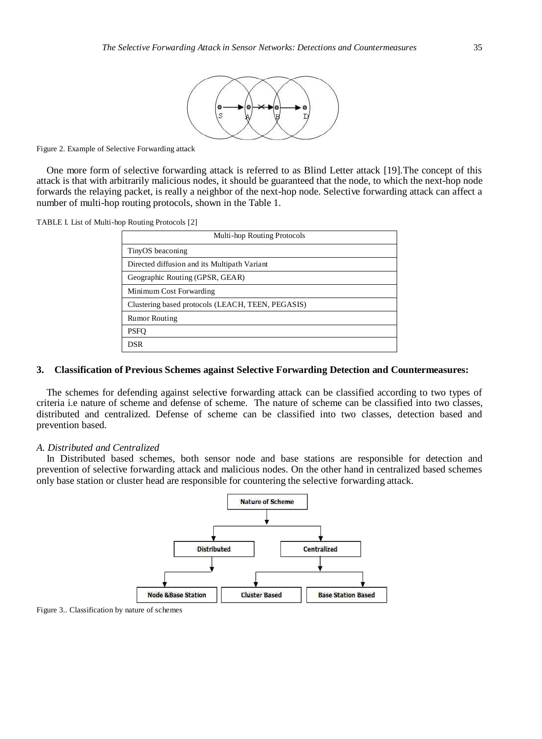

Figure 2. Example of Selective Forwarding attack

One more form of selective forwarding attack is referred to as Blind Letter attack [19].The concept of this attack is that with arbitrarily malicious nodes, it should be guaranteed that the node, to which the next-hop node forwards the relaying packet, is really a neighbor of the next-hop node. Selective forwarding attack can affect a number of multi-hop routing protocols, shown in the Table 1.

TABLE I. List of Multi-hop Routing Protocols [2]

| Multi-hop Routing Protocols                       |  |  |  |  |  |  |  |
|---------------------------------------------------|--|--|--|--|--|--|--|
| TinyOS beaconing                                  |  |  |  |  |  |  |  |
| Directed diffusion and its Multipath Variant      |  |  |  |  |  |  |  |
| Geographic Routing (GPSR, GEAR)                   |  |  |  |  |  |  |  |
| Minimum Cost Forwarding                           |  |  |  |  |  |  |  |
| Clustering based protocols (LEACH, TEEN, PEGASIS) |  |  |  |  |  |  |  |
| <b>Rumor Routing</b>                              |  |  |  |  |  |  |  |
| <b>PSFO</b>                                       |  |  |  |  |  |  |  |
| DSR                                               |  |  |  |  |  |  |  |

#### **3. Classification of Previous Schemes against Selective Forwarding Detection and Countermeasures:**

The schemes for defending against selective forwarding attack can be classified according to two types of criteria i.e nature of scheme and defense of scheme. The nature of scheme can be classified into two classes, distributed and centralized. Defense of scheme can be classified into two classes, detection based and prevention based.

#### *A. Distributed and Centralized*

In Distributed based schemes, both sensor node and base stations are responsible for detection and prevention of selective forwarding attack and malicious nodes. On the other hand in centralized based schemes only base station or cluster head are responsible for countering the selective forwarding attack.



Figure 3.. Classification by nature of schemes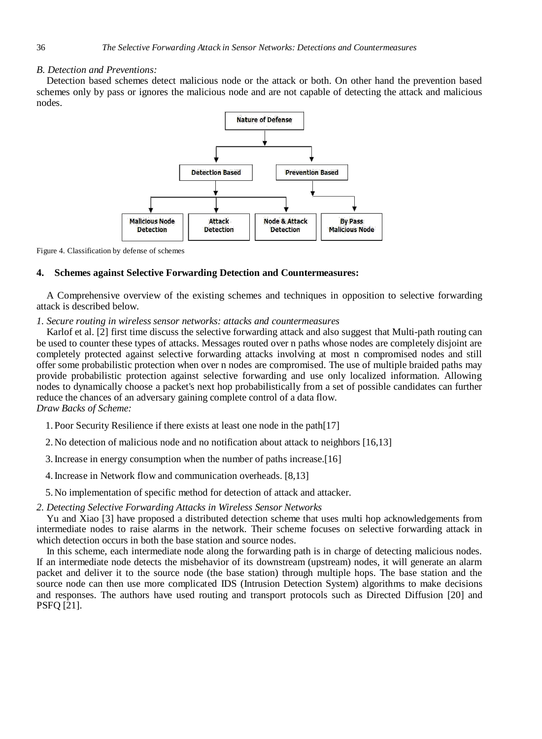# *B. Detection and Preventions:*

Detection based schemes detect malicious node or the attack or both. On other hand the prevention based schemes only by pass or ignores the malicious node and are not capable of detecting the attack and malicious nodes.



Figure 4. Classification by defense of schemes

# **4. Schemes against Selective Forwarding Detection and Countermeasures:**

A Comprehensive overview of the existing schemes and techniques in opposition to selective forwarding attack is described below.

# *1. Secure routing in wireless sensor networks: attacks and countermeasures*

Karlof et al. [2] first time discuss the selective forwarding attack and also suggest that Multi-path routing can be used to counter these types of attacks. Messages routed over n paths whose nodes are completely disjoint are completely protected against selective forwarding attacks involving at most n compromised nodes and still offer some probabilistic protection when over n nodes are compromised. The use of multiple braided paths may provide probabilistic protection against selective forwarding and use only localized information. Allowing nodes to dynamically choose a packet's next hop probabilistically from a set of possible candidates can further reduce the chances of an adversary gaining complete control of a data flow. *Draw Backs of Scheme:* 

1. Poor Security Resilience if there exists at least one node in the path[17]

2. No detection of malicious node and no notification about attack to neighbors [16,13]

3.Increase in energy consumption when the number of paths increase.[16]

4.Increase in Network flow and communication overheads. [8,13]

5. No implementation of specific method for detection of attack and attacker.

*2. Detecting Selective Forwarding Attacks in Wireless Sensor Networks*

Yu and Xiao [3] have proposed a distributed detection scheme that uses multi hop acknowledgements from intermediate nodes to raise alarms in the network. Their scheme focuses on selective forwarding attack in which detection occurs in both the base station and source nodes.

In this scheme, each intermediate node along the forwarding path is in charge of detecting malicious nodes. If an intermediate node detects the misbehavior of its downstream (upstream) nodes, it will generate an alarm packet and deliver it to the source node (the base station) through multiple hops. The base station and the source node can then use more complicated IDS (Intrusion Detection System) algorithms to make decisions and responses. The authors have used routing and transport protocols such as Directed Diffusion [20] and PSFQ [21].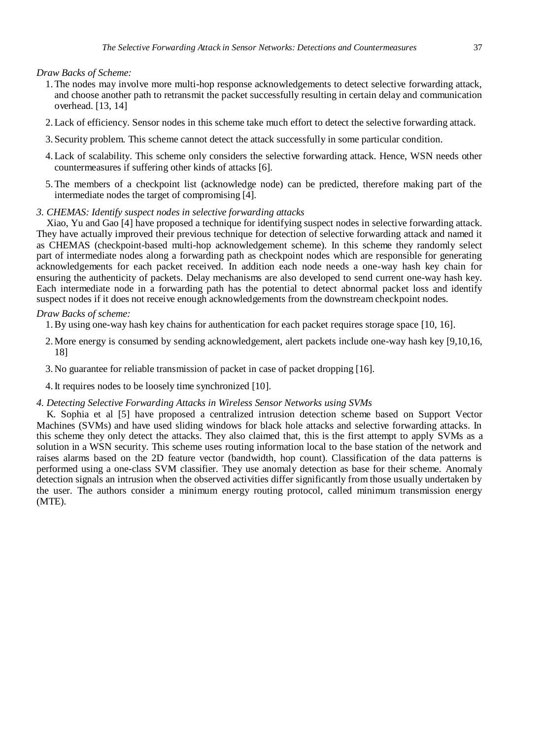*Draw Backs of Scheme:* 

- 1.The nodes may involve more multi-hop response acknowledgements to detect selective forwarding attack, and choose another path to retransmit the packet successfully resulting in certain delay and communication overhead. [13, 14]
- 2.Lack of efficiency. Sensor nodes in this scheme take much effort to detect the selective forwarding attack.
- 3. Security problem. This scheme cannot detect the attack successfully in some particular condition.
- 4.Lack of scalability. This scheme only considers the selective forwarding attack. Hence, WSN needs other countermeasures if suffering other kinds of attacks [6].
- 5.The members of a checkpoint list (acknowledge node) can be predicted, therefore making part of the intermediate nodes the target of compromising [4].

#### *3. CHEMAS: Identify suspect nodes in selective forwarding attacks*

Xiao, Yu and Gao [4] have proposed a technique for identifying suspect nodes in selective forwarding attack. They have actually improved their previous technique for detection of selective forwarding attack and named it as CHEMAS (checkpoint-based multi-hop acknowledgement scheme). In this scheme they randomly select part of intermediate nodes along a forwarding path as checkpoint nodes which are responsible for generating acknowledgements for each packet received. In addition each node needs a one-way hash key chain for ensuring the authenticity of packets. Delay mechanisms are also developed to send current one-way hash key. Each intermediate node in a forwarding path has the potential to detect abnormal packet loss and identify suspect nodes if it does not receive enough acknowledgements from the downstream checkpoint nodes.

#### *Draw Backs of scheme:*

1.By using one-way hash key chains for authentication for each packet requires storage space [10, 16].

- 2.More energy is consumed by sending acknowledgement, alert packets include one-way hash key [9,10,16, 18]
- 3. No guarantee for reliable transmission of packet in case of packet dropping [16].
- 4.It requires nodes to be loosely time synchronized [10].

#### *4. Detecting Selective Forwarding Attacks in Wireless Sensor Networks using SVMs*

K. Sophia et al [5] have proposed a centralized intrusion detection scheme based on Support Vector Machines (SVMs) and have used sliding windows for black hole attacks and selective forwarding attacks. In this scheme they only detect the attacks. They also claimed that, this is the first attempt to apply SVMs as a solution in a WSN security. This scheme uses routing information local to the base station of the network and raises alarms based on the 2D feature vector (bandwidth, hop count). Classification of the data patterns is performed using a one-class SVM classifier. They use anomaly detection as base for their scheme. Anomaly detection signals an intrusion when the observed activities differ significantly from those usually undertaken by the user. The authors consider a minimum energy routing protocol, called minimum transmission energy (MTE).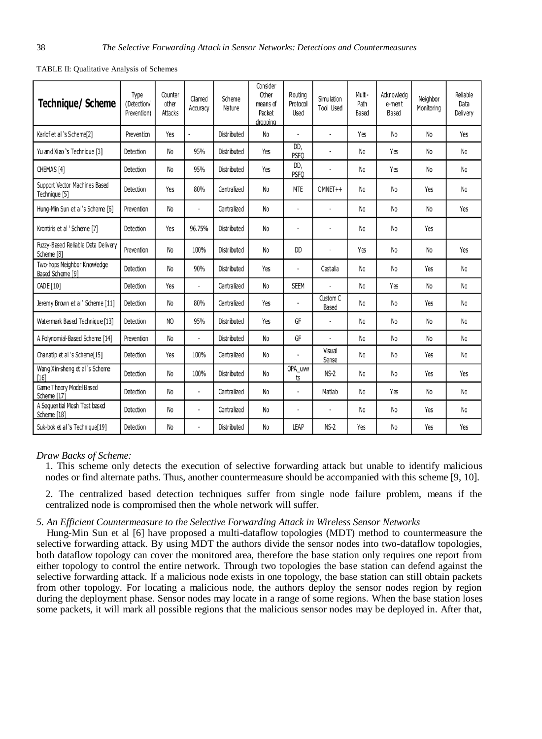| <b>Technique/ Scheme</b>                         | Type<br>(Detection/<br>Prevention) | Counter<br>other<br><b>Attacks</b> | Clamed<br>Accuracy       | Scheme<br>Nature   | Consider<br>Other<br>means of<br>Packet<br>dropping | Routing<br>Protocol<br>Used | Simu lation<br>Tool Used | Multi-<br>Path<br>Based | Acknowleda<br>e-ment<br>Based | Neighbor<br>Monitoring | Reliable<br>Data<br>Delivery |
|--------------------------------------------------|------------------------------------|------------------------------------|--------------------------|--------------------|-----------------------------------------------------|-----------------------------|--------------------------|-------------------------|-------------------------------|------------------------|------------------------------|
| Karlof et al 's Scheme[2]                        | Prevention                         | Yes                                |                          | Distributed        | No                                                  | $\overline{a}$              |                          | Yes                     | No                            | N <sub>o</sub>         | Yes                          |
| Yu and Xiao 's Technique [3]                     | Detection                          | No                                 | 95%                      | <b>Distributed</b> | Yes                                                 | DD,<br><b>PSFO</b>          | Ĭ.                       | N <sub>o</sub>          | Yes                           | N <sub>o</sub>         | No                           |
| CHEMAS <sub>[4]</sub>                            | Detection                          | No                                 | 95%                      | <b>Distributed</b> | Yes                                                 | DD,<br><b>PSFO</b>          | ٠                        | N <sub>o</sub>          | Yes                           | No                     | N <sub>o</sub>               |
| Support Vector Machines Based<br>Technique [5]   | Detection                          | Yes                                | 80%                      | Centralized        | No                                                  | <b>MTE</b>                  | OMNET++                  | No                      | No                            | Yes                    | No                           |
| Hung-Min Sun et al 's Scheme [6]                 | Prevention                         | No                                 | $\overline{a}$           | Centralized        | No                                                  | ÷                           |                          | N <sub>o</sub>          | N <sub>o</sub>                | <b>No</b>              | Yes                          |
| Krontiris et al 'Scheme [7]                      | Detection                          | Yes                                | 96.75%                   | Distributed        | N <sub>0</sub>                                      |                             |                          | <b>No</b>               | N <sub>0</sub>                | Yes                    |                              |
| Fuzzy-Based Reliable Data Delivery<br>Scheme [8] | Prevention                         | No                                 | 100%                     | Distributed        | No                                                  | <b>DD</b>                   | $\overline{\phantom{a}}$ | Yes                     | No                            | No                     | Yes                          |
| Two-hops Neighbor Knowledge<br>Based Scheme [9]  | Detection                          | No                                 | 90%                      | Distributed        | Yes                                                 | i,                          | Castalia                 | No                      | No                            | Yes                    | No                           |
| CADE [10]                                        | Detection                          | Yes                                | $\overline{a}$           | Centralized        | No                                                  | <b>SEEM</b>                 |                          | No                      | Yes                           | No                     | No                           |
| Jeremy Brown et al ' Scheme [11]                 | Detection                          | No                                 | 80%                      | Centralized        | Yes                                                 | ٠                           | Custom C<br>Based        | N <sub>o</sub>          | No                            | Yes                    | No                           |
| Watermark Based Technique [13]                   | Detection                          | N <sub>O</sub>                     | 95%                      | Distributed        | Yes                                                 | GF                          |                          | No                      | No                            | No                     | No                           |
| A Polynomial-Based Scheme [14]                   | Prevention                         | No                                 | ÷,                       | <b>Distributed</b> | No                                                  | GF                          | ٠                        | No                      | No                            | No                     | No                           |
| Chanatip et al 's Scheme[15]                     | Detection                          | Yes                                | 100%                     | Centralized        | No                                                  | ٠                           | Visual<br>Sense          | <b>No</b>               | No                            | Yes                    | No                           |
| Wang Xin-sheng et al 's Scheme<br>[16]           | Detection                          | No                                 | 100%                     | <b>Distributed</b> | No                                                  | OPA uw<br>ts                | $NS-2$                   | <b>No</b>               | No                            | Yes                    | Yes                          |
| Game Theory Model Based<br>Scheme [17]           | Detection                          | No                                 | $\overline{\phantom{a}}$ | Centralized        | No                                                  | ٠                           | Matlab                   | No                      | Yes                           | No                     | No                           |
| A Sequential Mesh Test based<br>Scheme [18]      | Detection                          | No                                 | $\overline{a}$           | Centralized        | No                                                  | ÷                           | $\frac{1}{2}$            | <b>No</b>               | No                            | Yes                    | No                           |
| Suk-bok et al 's Technique[19]                   | Detection                          | No                                 |                          | Distributed        | No                                                  | LEAP                        | $NS-2$                   | Yes                     | No                            | Yes                    | Yes                          |

TABLE II: Qualitative Analysis of Schemes

#### *Draw Backs of Scheme:*

1. This scheme only detects the execution of selective forwarding attack but unable to identify malicious nodes or find alternate paths. Thus, another countermeasure should be accompanied with this scheme [9, 10].

2. The centralized based detection techniques suffer from single node failure problem, means if the centralized node is compromised then the whole network will suffer.

# *5. An Efficient Countermeasure to the Selective Forwarding Attack in Wireless Sensor Networks*

Hung-Min Sun et al [6] have proposed a multi-dataflow topologies (MDT) method to countermeasure the selective forwarding attack. By using MDT the authors divide the sensor nodes into two-dataflow topologies, both dataflow topology can cover the monitored area, therefore the base station only requires one report from either topology to control the entire network. Through two topologies the base station can defend against the selective forwarding attack. If a malicious node exists in one topology, the base station can still obtain packets from other topology. For locating a malicious node, the authors deploy the sensor nodes region by region during the deployment phase. Sensor nodes may locate in a range of some regions. When the base station loses some packets, it will mark all possible regions that the malicious sensor nodes may be deployed in. After that,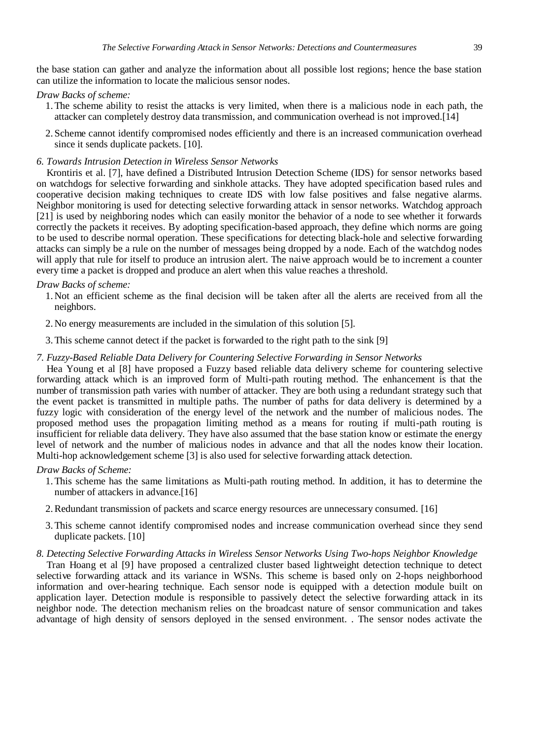the base station can gather and analyze the information about all possible lost regions; hence the base station can utilize the information to locate the malicious sensor nodes.

#### *Draw Backs of scheme:*

- 1.The scheme ability to resist the attacks is very limited, when there is a malicious node in each path, the attacker can completely destroy data transmission, and communication overhead is not improved.[14]
- 2. Scheme cannot identify compromised nodes efficiently and there is an increased communication overhead since it sends duplicate packets. [10].
- *6. Towards Intrusion Detection in Wireless Sensor Networks*

Krontiris et al. [7], have defined a Distributed Intrusion Detection Scheme (IDS) for sensor networks based on watchdogs for selective forwarding and sinkhole attacks. They have adopted specification based rules and cooperative decision making techniques to create IDS with low false positives and false negative alarms. Neighbor monitoring is used for detecting selective forwarding attack in sensor networks. Watchdog approach [21] is used by neighboring nodes which can easily monitor the behavior of a node to see whether it forwards correctly the packets it receives. By adopting specification-based approach, they define which norms are going to be used to describe normal operation. These specifications for detecting black-hole and selective forwarding attacks can simply be a rule on the number of messages being dropped by a node. Each of the watchdog nodes will apply that rule for itself to produce an intrusion alert. The naive approach would be to increment a counter every time a packet is dropped and produce an alert when this value reaches a threshold.

#### *Draw Backs of scheme:*

- 1. Not an efficient scheme as the final decision will be taken after all the alerts are received from all the neighbors.
- 2. No energy measurements are included in the simulation of this solution [5].
- 3.This scheme cannot detect if the packet is forwarded to the right path to the sink [9]

#### *7. Fuzzy-Based Reliable Data Delivery for Countering Selective Forwarding in Sensor Networks*

Hea Young et al [8] have proposed a Fuzzy based reliable data delivery scheme for countering selective forwarding attack which is an improved form of Multi-path routing method. The enhancement is that the number of transmission path varies with number of attacker. They are both using a redundant strategy such that the event packet is transmitted in multiple paths. The number of paths for data delivery is determined by a fuzzy logic with consideration of the energy level of the network and the number of malicious nodes. The proposed method uses the propagation limiting method as a means for routing if multi-path routing is insufficient for reliable data delivery. They have also assumed that the base station know or estimate the energy level of network and the number of malicious nodes in advance and that all the nodes know their location. Multi-hop acknowledgement scheme [3] is also used for selective forwarding attack detection.

#### *Draw Backs of Scheme:*

- 1.This scheme has the same limitations as Multi-path routing method. In addition, it has to determine the number of attackers in advance.<sup>[16]</sup>
- 2.Redundant transmission of packets and scarce energy resources are unnecessary consumed. [16]
- 3.This scheme cannot identify compromised nodes and increase communication overhead since they send duplicate packets. [10]

#### *8. Detecting Selective Forwarding Attacks in Wireless Sensor Networks Using Two-hops Neighbor Knowledge*

Tran Hoang et al [9] have proposed a centralized cluster based lightweight detection technique to detect selective forwarding attack and its variance in WSNs. This scheme is based only on 2-hops neighborhood information and over-hearing technique. Each sensor node is equipped with a detection module built on application layer. Detection module is responsible to passively detect the selective forwarding attack in its neighbor node. The detection mechanism relies on the broadcast nature of sensor communication and takes advantage of high density of sensors deployed in the sensed environment. . The sensor nodes activate the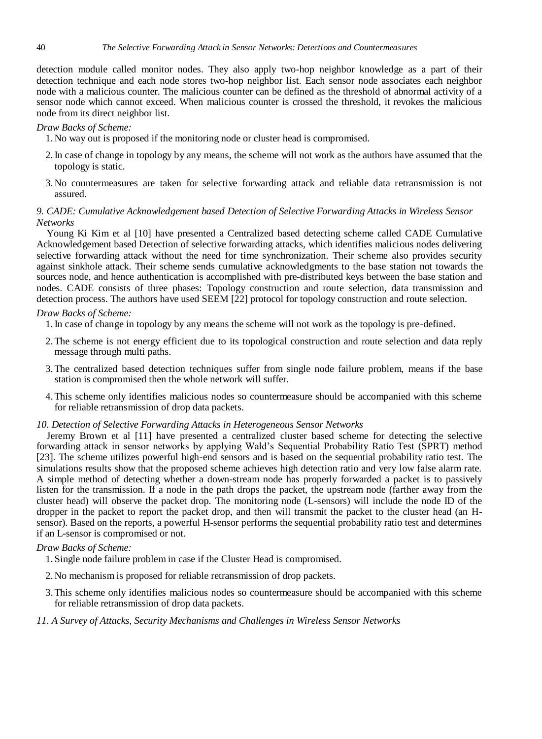detection module called monitor nodes. They also apply two-hop neighbor knowledge as a part of their detection technique and each node stores two-hop neighbor list. Each sensor node associates each neighbor node with a malicious counter. The malicious counter can be defined as the threshold of abnormal activity of a sensor node which cannot exceed. When malicious counter is crossed the threshold, it revokes the malicious node from its direct neighbor list.

#### *Draw Backs of Scheme:*

1. No way out is proposed if the monitoring node or cluster head is compromised.

- 2.In case of change in topology by any means, the scheme will not work as the authors have assumed that the topology is static.
- 3. No countermeasures are taken for selective forwarding attack and reliable data retransmission is not assured.

# *9. CADE: Cumulative Acknowledgement based Detection of Selective Forwarding Attacks in Wireless Sensor Networks*

Young Ki Kim et al [10] have presented a Centralized based detecting scheme called CADE Cumulative Acknowledgement based Detection of selective forwarding attacks, which identifies malicious nodes delivering selective forwarding attack without the need for time synchronization. Their scheme also provides security against sinkhole attack. Their scheme sends cumulative acknowledgments to the base station not towards the sources node, and hence authentication is accomplished with pre-distributed keys between the base station and nodes. CADE consists of three phases: Topology construction and route selection, data transmission and detection process. The authors have used SEEM [22] protocol for topology construction and route selection.

# *Draw Backs of Scheme:*

1.In case of change in topology by any means the scheme will not work as the topology is pre-defined.

- 2.The scheme is not energy efficient due to its topological construction and route selection and data reply message through multi paths.
- 3.The centralized based detection techniques suffer from single node failure problem, means if the base station is compromised then the whole network will suffer.
- 4.This scheme only identifies malicious nodes so countermeasure should be accompanied with this scheme for reliable retransmission of drop data packets.

#### *10. Detection of Selective Forwarding Attacks in Heterogeneous Sensor Networks*

Jeremy Brown et al [11] have presented a centralized cluster based scheme for detecting the selective forwarding attack in sensor networks by applying Wald"s Sequential Probability Ratio Test (SPRT) method [23]. The scheme utilizes powerful high-end sensors and is based on the sequential probability ratio test. The simulations results show that the proposed scheme achieves high detection ratio and very low false alarm rate. A simple method of detecting whether a down-stream node has properly forwarded a packet is to passively listen for the transmission. If a node in the path drops the packet, the upstream node (farther away from the cluster head) will observe the packet drop. The monitoring node (L-sensors) will include the node ID of the dropper in the packet to report the packet drop, and then will transmit the packet to the cluster head (an Hsensor). Based on the reports, a powerful H-sensor performs the sequential probability ratio test and determines if an L-sensor is compromised or not.

#### *Draw Backs of Scheme:*

- 1. Single node failure problem in case if the Cluster Head is compromised.
- 2. No mechanism is proposed for reliable retransmission of drop packets.
- 3.This scheme only identifies malicious nodes so countermeasure should be accompanied with this scheme for reliable retransmission of drop data packets.

#### *11. A Survey of Attacks, Security Mechanisms and Challenges in Wireless Sensor Networks*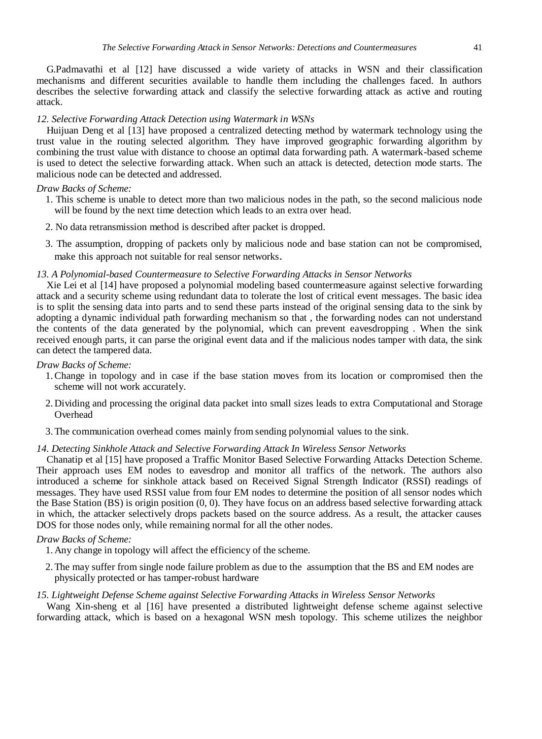G.Padmavathi et al [12] have discussed a wide variety of attacks in WSN and their classification mechanisms and different securities available to handle them including the challenges faced. In authors describes the selective forwarding attack and classify the selective forwarding attack as active and routing attack.

#### *12. Selective Forwarding Attack Detection using Watermark in WSNs*

Huijuan Deng et al [13] have proposed a centralized detecting method by watermark technology using the trust value in the routing selected algorithm. They have improved geographic forwarding algorithm by combining the trust value with distance to choose an optimal data forwarding path. A watermark-based scheme is used to detect the selective forwarding attack. When such an attack is detected, detection mode starts. The malicious node can be detected and addressed.

#### *Draw Backs of Scheme:*

- 1. This scheme is unable to detect more than two malicious nodes in the path, so the second malicious node will be found by the next time detection which leads to an extra over head.
- 2. No data retransmission method is described after packet is dropped.
- 3. The assumption, dropping of packets only by malicious node and base station can not be compromised, make this approach not suitable for real sensor networks.

#### *13. A Polynomial-based Countermeasure to Selective Forwarding Attacks in Sensor Networks*

Xie Lei et al [14] have proposed a polynomial modeling based countermeasure against selective forwarding attack and a security scheme using redundant data to tolerate the lost of critical event messages. The basic idea is to split the sensing data into parts and to send these parts instead of the original sensing data to the sink by adopting a dynamic individual path forwarding mechanism so that , the forwarding nodes can not understand the contents of the data generated by the polynomial, which can prevent eavesdropping . When the sink received enough parts, it can parse the original event data and if the malicious nodes tamper with data, the sink can detect the tampered data.

#### *Draw Backs of Scheme:*

- 1.Change in topology and in case if the base station moves from its location or compromised then the scheme will not work accurately.
- 2. Dividing and processing the original data packet into small sizes leads to extra Computational and Storage Overhead
- 3.The communication overhead comes mainly from sending polynomial values to the sink.

#### *14. Detecting Sinkhole Attack and Selective Forwarding Attack In Wireless Sensor Networks*

Chanatip et al [15] have proposed a Traffic Monitor Based Selective Forwarding Attacks Detection Scheme. Their approach uses EM nodes to eavesdrop and monitor all traffics of the network. The authors also introduced a scheme for sinkhole attack based on Received Signal Strength Indicator (RSSI) readings of messages. They have used RSSI value from four EM nodes to determine the position of all sensor nodes which the Base Station (BS) is origin position (0, 0). They have focus on an address based selective forwarding attack in which, the attacker selectively drops packets based on the source address. As a result, the attacker causes DOS for those nodes only, while remaining normal for all the other nodes.

#### *Draw Backs of Scheme:*

1. Any change in topology will affect the efficiency of the scheme.

2.The may suffer from single node failure problem as due to the assumption that the BS and EM nodes are physically protected or has tamper-robust hardware

#### *15. Lightweight Defense Scheme against Selective Forwarding Attacks in Wireless Sensor Networks*

Wang Xin-sheng et al [16] have presented a distributed lightweight defense scheme against selective forwarding attack, which is based on a hexagonal WSN mesh topology. This scheme utilizes the neighbor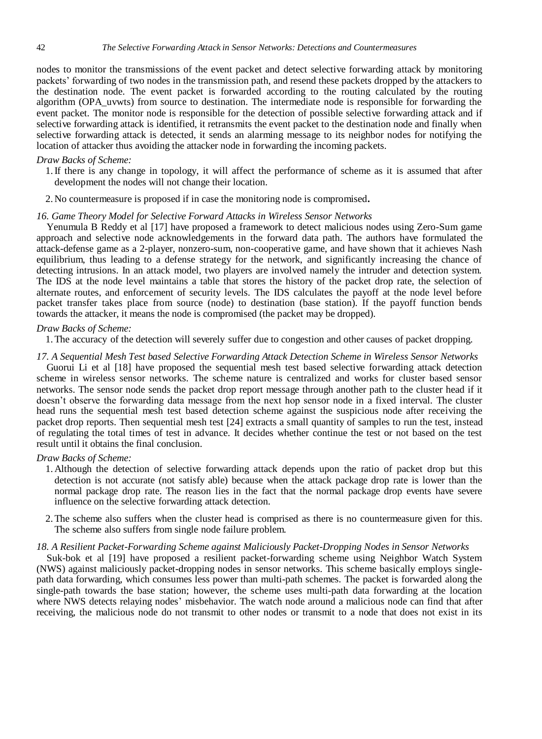nodes to monitor the transmissions of the event packet and detect selective forwarding attack by monitoring packets" forwarding of two nodes in the transmission path, and resend these packets dropped by the attackers to the destination node. The event packet is forwarded according to the routing calculated by the routing algorithm (OPA\_uvwts) from source to destination. The intermediate node is responsible for forwarding the event packet. The monitor node is responsible for the detection of possible selective forwarding attack and if selective forwarding attack is identified, it retransmits the event packet to the destination node and finally when selective forwarding attack is detected, it sends an alarming message to its neighbor nodes for notifying the location of attacker thus avoiding the attacker node in forwarding the incoming packets.

#### *Draw Backs of Scheme:*

- 1.If there is any change in topology, it will affect the performance of scheme as it is assumed that after development the nodes will not change their location.
- 2. No countermeasure is proposed if in case the monitoring node is compromised**.**

#### *16. Game Theory Model for Selective Forward Attacks in Wireless Sensor Networks*

Yenumula B Reddy et al [17] have proposed a framework to detect malicious nodes using Zero-Sum game approach and selective node acknowledgements in the forward data path. The authors have formulated the attack-defense game as a 2-player, nonzero-sum, non-cooperative game, and have shown that it achieves Nash equilibrium, thus leading to a defense strategy for the network, and significantly increasing the chance of detecting intrusions. In an attack model, two players are involved namely the intruder and detection system. The IDS at the node level maintains a table that stores the history of the packet drop rate, the selection of alternate routes, and enforcement of security levels. The IDS calculates the payoff at the node level before packet transfer takes place from source (node) to destination (base station). If the payoff function bends towards the attacker, it means the node is compromised (the packet may be dropped).

#### *Draw Backs of Scheme:*

1.The accuracy of the detection will severely suffer due to congestion and other causes of packet dropping.

#### *17. A Sequential Mesh Test based Selective Forwarding Attack Detection Scheme in Wireless Sensor Networks*

Guorui Li et al [18] have proposed the sequential mesh test based selective forwarding attack detection scheme in wireless sensor networks. The scheme nature is centralized and works for cluster based sensor networks. The sensor node sends the packet drop report message through another path to the cluster head if it doesn't observe the forwarding data message from the next hop sensor node in a fixed interval. The cluster head runs the sequential mesh test based detection scheme against the suspicious node after receiving the packet drop reports. Then sequential mesh test [24] extracts a small quantity of samples to run the test, instead of regulating the total times of test in advance. It decides whether continue the test or not based on the test result until it obtains the final conclusion.

#### *Draw Backs of Scheme:*

- 1. Although the detection of selective forwarding attack depends upon the ratio of packet drop but this detection is not accurate (not satisfy able) because when the attack package drop rate is lower than the normal package drop rate. The reason lies in the fact that the normal package drop events have severe influence on the selective forwarding attack detection.
- 2.The scheme also suffers when the cluster head is comprised as there is no countermeasure given for this. The scheme also suffers from single node failure problem.

# *18. A Resilient Packet-Forwarding Scheme against Maliciously Packet-Dropping Nodes in Sensor Networks*

Suk-bok et al [19] have proposed a resilient packet-forwarding scheme using Neighbor Watch System (NWS) against maliciously packet-dropping nodes in sensor networks. This scheme basically employs singlepath data forwarding, which consumes less power than multi-path schemes. The packet is forwarded along the single-path towards the base station; however, the scheme uses multi-path data forwarding at the location where NWS detects relaying nodes' misbehavior. The watch node around a malicious node can find that after receiving, the malicious node do not transmit to other nodes or transmit to a node that does not exist in its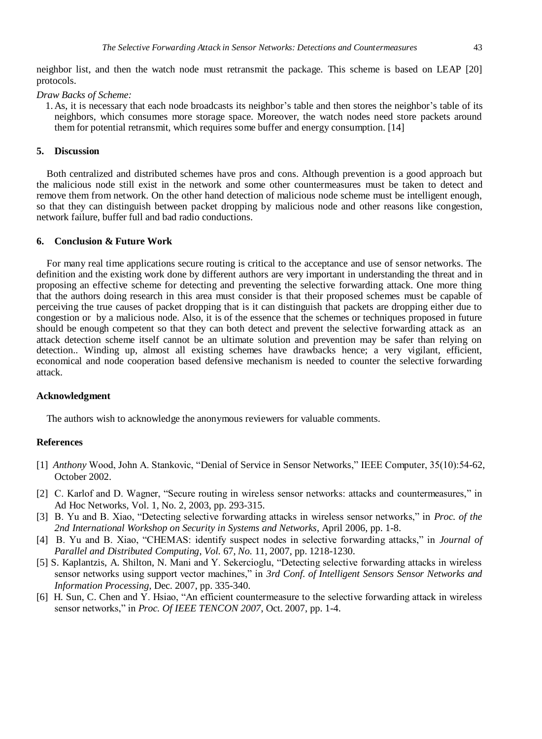neighbor list, and then the watch node must retransmit the package. This scheme is based on LEAP [20] protocols.

*Draw Backs of Scheme:*

1. As, it is necessary that each node broadcasts its neighbor"s table and then stores the neighbor"s table of its neighbors, which consumes more storage space. Moreover, the watch nodes need store packets around them for potential retransmit, which requires some buffer and energy consumption. [14]

# **5. Discussion**

Both centralized and distributed schemes have pros and cons. Although prevention is a good approach but the malicious node still exist in the network and some other countermeasures must be taken to detect and remove them from network. On the other hand detection of malicious node scheme must be intelligent enough, so that they can distinguish between packet dropping by malicious node and other reasons like congestion, network failure, buffer full and bad radio conductions.

#### **6. Conclusion & Future Work**

For many real time applications secure routing is critical to the acceptance and use of sensor networks. The definition and the existing work done by different authors are very important in understanding the threat and in proposing an effective scheme for detecting and preventing the selective forwarding attack. One more thing that the authors doing research in this area must consider is that their proposed schemes must be capable of perceiving the true causes of packet dropping that is it can distinguish that packets are dropping either due to congestion or by a malicious node. Also, it is of the essence that the schemes or techniques proposed in future should be enough competent so that they can both detect and prevent the selective forwarding attack as an attack detection scheme itself cannot be an ultimate solution and prevention may be safer than relying on detection.. Winding up, almost all existing schemes have drawbacks hence; a very vigilant, efficient, economical and node cooperation based defensive mechanism is needed to counter the selective forwarding attack.

#### **Acknowledgment**

The authors wish to acknowledge the anonymous reviewers for valuable comments.

# **References**

- [1] *Anthony* Wood, John A. Stankovic, ["Denial of Service in Sensor Networks,"](http://www.cs.virginia.edu/%7Eadw5p/pubs/computer02-dos.pdf) IEEE Computer, 35(10):54-62, October 2002.
- [2] C. Karlof and D. Wagner, "Secure routing in wireless sensor networks: attacks and countermeasures," in Ad Hoc Networks, Vol. 1, No. 2, 2003, pp. 293-315.
- [3] B. Yu and B. Xiao, "Detecting selective forwarding attacks in wireless sensor networks," in *Proc. of the 2nd International Workshop on Security in Systems and Networks*, April 2006, pp. 1-8.
- [4] B. Yu and B. Xiao, "CHEMAS: identify suspect nodes in selective forwarding attacks," in *Journal of Parallel and Distributed Computing*, *Vol.* 67, *No.* 11, 2007, pp. 1218-1230.
- [5] S. Kaplantzis, A. Shilton, N. Mani and Y. Sekercioglu, "Detecting selective forwarding attacks in wireless sensor networks using support vector machines," in *3rd Conf. of Intelligent Sensors Sensor Networks and Information Processing*, Dec. 2007, pp. 335-340.
- [6] H. Sun, C. Chen and Y. Hsiao, "An efficient countermeasure to the selective forwarding attack in wireless sensor networks," in *Proc. Of IEEE TENCON 2007*, Oct. 2007, pp. 1-4.